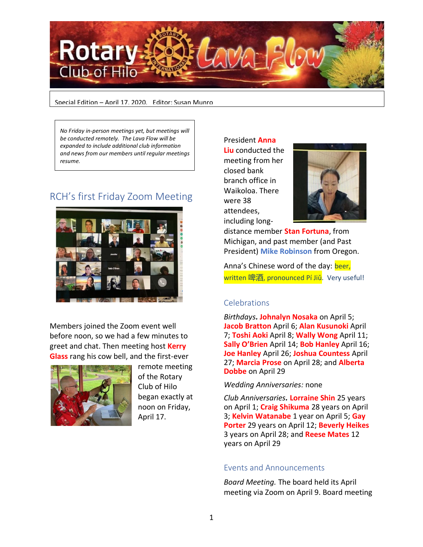

Special Edition – April 17, 2020. Editor: Susan Munro

*No Friday in-person meetings yet, but meetings will be conducted remotely. The Lava Flow will be expanded to include additional club information and news from our members until regular meetings resume.*

# RCH's first Friday Zoom Meeting



Members joined the Zoom event well before noon, so we had a few minutes to greet and chat. Then meeting host **Kerry Glass** rang his cow bell, and the first-ever



remote meeting of the Rotary Club of Hilo began exactly at noon on Friday, April 17.

President **Anna Liu** conducted the meeting from her closed bank branch office in Waikoloa. There were 38 attendees, including long-



distance member **Stan Fortuna**, from Michigan, and past member (and Past President) **Mike Robinson** from Oregon.

Anna's Chinese word of the day: beer, written 啤酒, pronounced Pí Jiǔ. Very useful!

## **Celebrations**

*Birthdays.* **Johnalyn Nosaka** on April 5; **Jacob Bratton** April 6; **Alan Kusunoki** April 7; **Toshi Aoki** April 8; **Wally Wong** April 11; **Sally O'Brien** April 14; **Bob Hanley** April 16; **Joe Hanley** April 26; **Joshua Countess** April 27; **Marcia Prose** on April 28; and **Alberta Dobbe** on April 29

### *Wedding Anniversaries:* none

*Club Anniversaries.* **Lorraine Shin** 25 years on April 1; **Craig Shikuma** 28 years on April 3; **Kelvin Watanabe** 1 year on April 5; **Gay Porter** 29 years on April 12; **Beverly Heikes** 3 years on April 28; and **Reese Mates** 12 years on April 29

### Events and Announcements

*Board Meeting.* The board held its April meeting via Zoom on April 9. Board meeting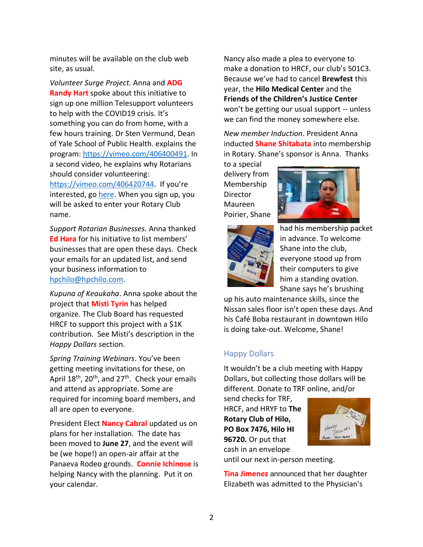minutes will be available on the club web site, as usual.

*Volunteer Surge Project.* Anna and **ADG Randy Hart** spoke about this initiative to sign up one million Telesupport volunteers to help with the COVID19 crisis. It's something you can do from home, with a few hours training. Dr Sten Vermund, Dean of Yale School of Public Health. explains the program: [https://vimeo.com/406400491.](https://ismyrotaryclub.com/Click/?_uid=800378076&_ctid=1577934&redirect=https://vimeo.com/406400491) In a second video, he explains why Rotarians should consider volunteering: [https://vimeo.com/406420744.](https://vimeo.com/406420744) If you're interested, g[o here.](https://volunteersurge.com/) When you sign up, you will be asked to enter your Rotary Club name.

*Support Rotarian Businesses.* Anna thanked **Ed Hara** for his initiative to list members' businesses that are open these days. Check your emails for an updated list, and send your business information to [hpchilo@hpchilo.com.](mailto:hpchilo@hpchilo.com)

*Kupuna of Keaukaha*. Anna spoke about the project that **Misti Tyrin** has helped organize. The Club Board has requested HRCF to support this project with a \$1K contribution. See Misti's description in the *Happy Dollars* section.

*Spring Training Webinars*. You've been getting meeting invitations for these, on April  $18^{th}$ ,  $20^{th}$ , and  $27^{th}$ . Check your emails and attend as appropriate. Some are required for incoming board members, and all are open to everyone.

President Elect **Nancy Cabral** updated us on plans for her installation. The date has been moved to **June 27**, and the event will be (we hope!) an open-air affair at the Panaeva Rodeo grounds. **Connie Ichinose** is helping Nancy with the planning. Put it on your calendar.

Nancy also made a plea to everyone to make a donation to HRCF, our club's 501C3. Because we've had to cancel **Brewfest** this year, the **Hilo Medical Center** and the **Friends of the Children's Justice Center** won't be getting our usual support -- unless we can find the money somewhere else.

*New member Induction*. President Anna inducted **Shane Shitabata** into membership in Rotary. Shane's sponsor is Anna. Thanks

to a special delivery from Membership Director Maureen Poirier, Shane





had his membership packet in advance. To welcome Shane into the club, everyone stood up from their computers to give him a standing ovation. Shane says he's brushing

up his auto maintenance skills, since the Nissan sales floor isn't open these days. And his Café Boba restaurant in downtown Hilo is doing take-out. Welcome, Shane!

## Happy Dollars

It wouldn't be a club meeting with Happy Dollars, but collecting those dollars will be different. Donate to TRF online, and/or

send checks for TRF, HRCF, and HRYF to **The Rotary Club of Hilo, PO Box 7476, Hilo HI 96720.** Or put that cash in an envelope



until our next in-person meeting.

**Tina Jimenez** announced that her daughter Elizabeth was admitted to the Physician's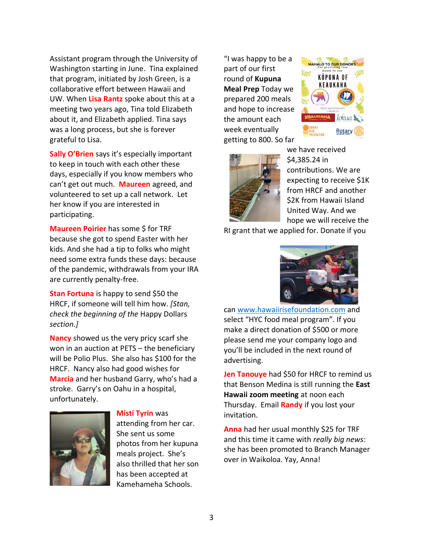Assistant program through the University of Washington starting in June. Tina explained that program, initiated by Josh Green, is a collaborative effort between Hawaii and UW. When **Lisa Rantz** spoke about this at a meeting two years ago, Tina told Elizabeth about it, and Elizabeth applied. Tina says was a long process, but she is forever grateful to Lisa.

**Sally O'Brien** says it's especially important to keep in touch with each other these days, especially if you know members who can't get out much. **Maureen** agreed, and volunteered to set up a call network. Let her know if you are interested in participating.

**Maureen Poirier** has some \$ for TRF because she got to spend Easter with her kids. And she had a tip to folks who might need some extra funds these days: because of the pandemic, withdrawals from your IRA are currently penalty-free.

**Stan Fortuna** is happy to send \$50 the HRCF, if someone will tell him how. *[Stan, check the beginning of the* Happy Dollars *section.]*

**Nancy** showed us the very pricy scarf she won in an auction at PETS – the beneficiary will be Polio Plus. She also has \$100 for the HRCF. Nancy also had good wishes for **Marcia** and her husband Garry, who's had a stroke. Garry's on Oahu in a hospital, unfortunately.



### **Misti Tyrin** was

attending from her car. She sent us some photos from her kupuna meals project. She's also thrilled that her son has been accepted at Kamehameha Schools.

"I was happy to be a part of our first round of **Kupuna Meal Prep** Today we prepared 200 meals and hope to increase the amount each week eventually getting to 800. So far





we have received \$4,385.24 in contributions. We are expecting to receive \$1K from HRCF and another \$2K from Hawaii Island United Way. And we hope we will receive the

RI grant that we applied for. Donate if you



can [www.hawaiirisefoundation.com](http://www.hawaiirisefoundation.com/) and select "HYC food meal program". If you make a direct donation of \$500 or more please send me your company logo and you'll be included in the next round of advertising.

**Jen Tanouye** had \$50 for HRCF to remind us that Benson Medina is still running the **East Hawaii zoom meeting** at noon each Thursday. Email **Randy** if you lost your invitation.

**Anna** had her usual monthly \$25 for TRF and this time it came with *really big news*: she has been promoted to Branch Manager over in Waikoloa. Yay, Anna!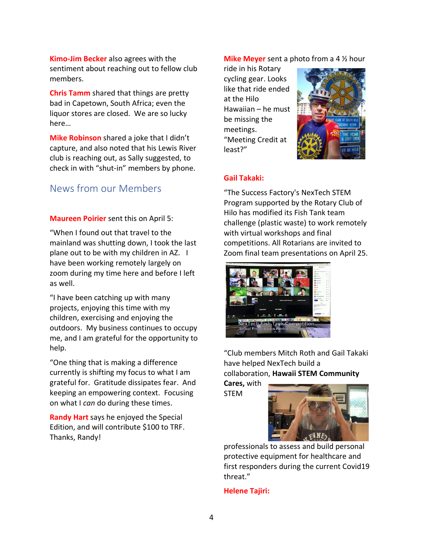**Kimo-Jim Becker** also agrees with the sentiment about reaching out to fellow club members.

**Chris Tamm** shared that things are pretty bad in Capetown, South Africa; even the liquor stores are closed. We are so lucky here…

**Mike Robinson** shared a joke that I didn't capture, and also noted that his Lewis River club is reaching out, as Sally suggested, to check in with "shut-in" members by phone.

# News from our Members

**Maureen Poirier** sent this on April 5:

"When I found out that travel to the mainland was shutting down, I took the last plane out to be with my children in AZ. I have been working remotely largely on zoom during my time here and before I left as well.

"I have been catching up with many projects, enjoying this time with my children, exercising and enjoying the outdoors. My business continues to occupy me, and I am grateful for the opportunity to help.

"One thing that is making a difference currently is shifting my focus to what I am grateful for. Gratitude dissipates fear. And keeping an empowering context. Focusing on what I *can* do during these times.

**Randy Hart** says he enjoyed the Special Edition, and will contribute \$100 to TRF. Thanks, Randy!

**Mike Meyer** sent a photo from a 4 ½ hour

ride in his Rotary cycling gear. Looks like that ride ended at the Hilo Hawaiian – he must be missing the meetings. "Meeting Credit at least?"



### **Gail Takaki:**

"The Success Factory's NexTech STEM Program supported by the Rotary Club of Hilo has modified its Fish Tank team challenge (plastic waste) to work remotely with virtual workshops and final competitions. All Rotarians are invited to Zoom final team presentations on April 25.



"Club members Mitch Roth and Gail Takaki have helped NexTech build a collaboration, **Hawaii STEM Community Cares,** with

STEM



professionals to assess and build personal protective equipment for healthcare and first responders during the current Covid19 threat."

### **Helene Tajiri:**